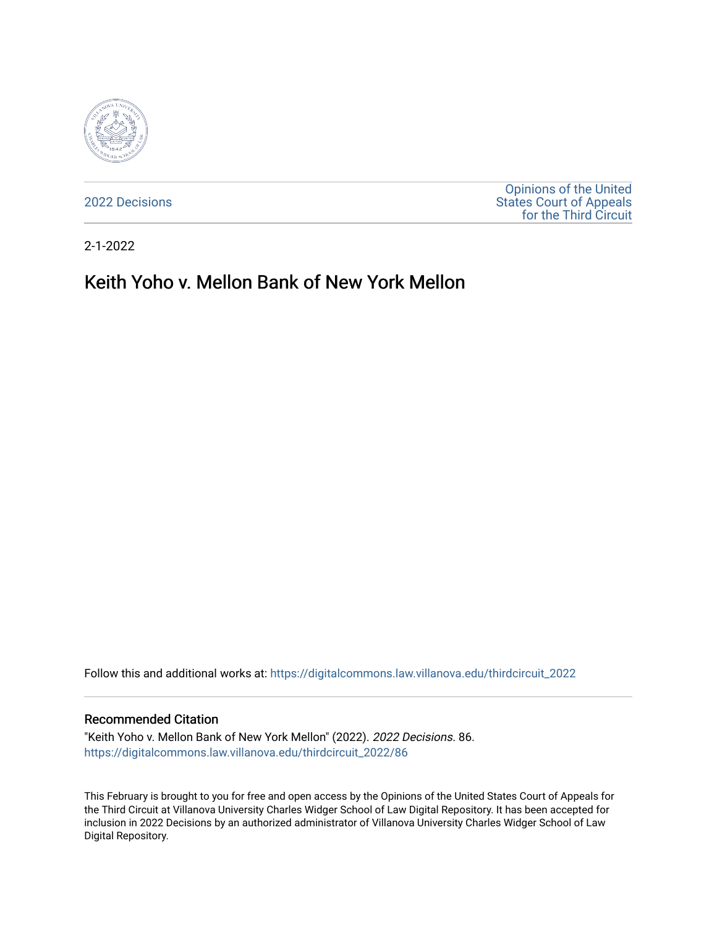

[2022 Decisions](https://digitalcommons.law.villanova.edu/thirdcircuit_2022)

[Opinions of the United](https://digitalcommons.law.villanova.edu/thirdcircuit)  [States Court of Appeals](https://digitalcommons.law.villanova.edu/thirdcircuit)  [for the Third Circuit](https://digitalcommons.law.villanova.edu/thirdcircuit) 

2-1-2022

# Keith Yoho v. Mellon Bank of New York Mellon

Follow this and additional works at: [https://digitalcommons.law.villanova.edu/thirdcircuit\\_2022](https://digitalcommons.law.villanova.edu/thirdcircuit_2022?utm_source=digitalcommons.law.villanova.edu%2Fthirdcircuit_2022%2F86&utm_medium=PDF&utm_campaign=PDFCoverPages) 

#### Recommended Citation

"Keith Yoho v. Mellon Bank of New York Mellon" (2022). 2022 Decisions. 86. [https://digitalcommons.law.villanova.edu/thirdcircuit\\_2022/86](https://digitalcommons.law.villanova.edu/thirdcircuit_2022/86?utm_source=digitalcommons.law.villanova.edu%2Fthirdcircuit_2022%2F86&utm_medium=PDF&utm_campaign=PDFCoverPages)

This February is brought to you for free and open access by the Opinions of the United States Court of Appeals for the Third Circuit at Villanova University Charles Widger School of Law Digital Repository. It has been accepted for inclusion in 2022 Decisions by an authorized administrator of Villanova University Charles Widger School of Law Digital Repository.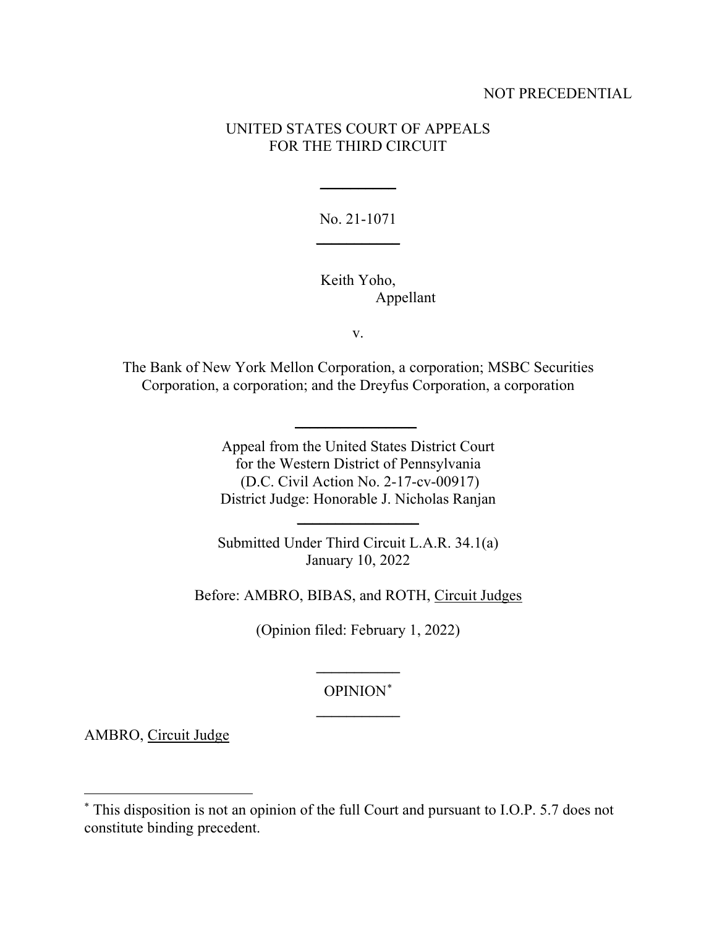# NOT PRECEDENTIAL

# UNITED STATES COURT OF APPEALS FOR THE THIRD CIRCUIT

No. 21-1071 **\_\_\_\_\_\_\_\_\_\_\_**

**\_\_\_\_\_\_\_\_\_\_**

Keith Yoho, Appellant

v.

The Bank of New York Mellon Corporation, a corporation; MSBC Securities Corporation, a corporation; and the Dreyfus Corporation, a corporation

**\_\_\_\_\_\_\_\_\_\_\_\_\_\_\_\_**

Appeal from the United States District Court for the Western District of Pennsylvania (D.C. Civil Action No. 2-17-cv-00917) District Judge: Honorable J. Nicholas Ranjan

Submitted Under Third Circuit L.A.R. 34.1(a) January 10, 2022

**\_\_\_\_\_\_\_\_\_\_\_\_\_\_\_\_**

Before: AMBRO, BIBAS, and ROTH, Circuit Judges

(Opinion filed: February 1, 2022)

OPINION[\\*](#page-1-0) **\_\_\_\_\_\_\_\_\_\_\_**

**\_\_\_\_\_\_\_\_\_\_\_**

AMBRO, Circuit Judge

<span id="page-1-0"></span><sup>\*</sup> This disposition is not an opinion of the full Court and pursuant to I.O.P. 5.7 does not constitute binding precedent.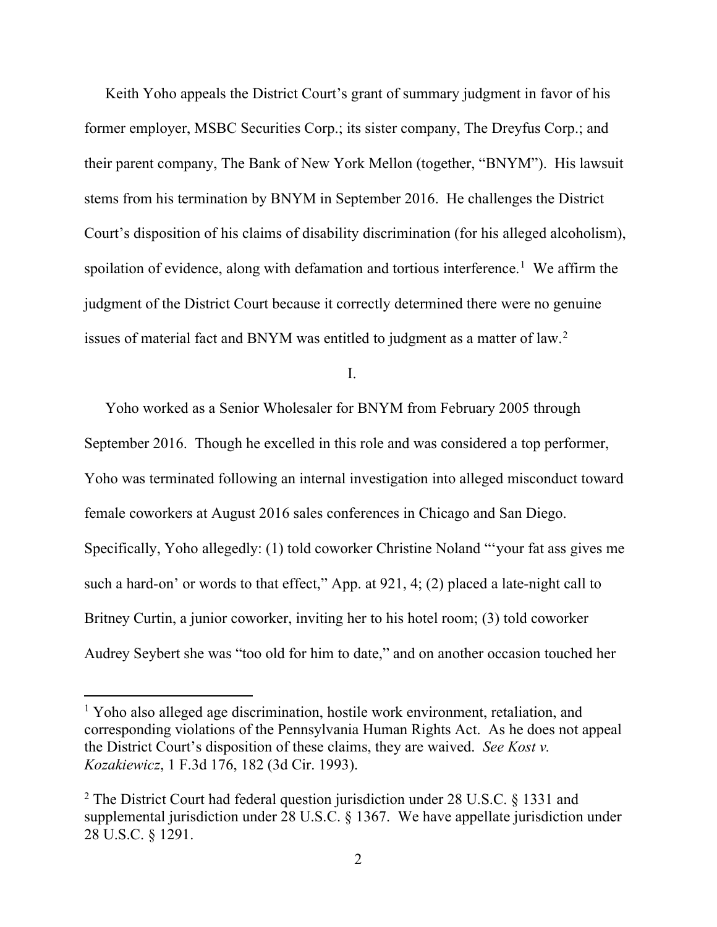Keith Yoho appeals the District Court's grant of summary judgment in favor of his former employer, MSBC Securities Corp.; its sister company, The Dreyfus Corp.; and their parent company, The Bank of New York Mellon (together, "BNYM"). His lawsuit stems from his termination by BNYM in September 2016. He challenges the District Court's disposition of his claims of disability discrimination (for his alleged alcoholism), spoilation of evidence, along with defamation and tortious interference.<sup>[1](#page-2-0)</sup> We affirm the judgment of the District Court because it correctly determined there were no genuine issues of material fact and BNYM was entitled to judgment as a matter of law. [2](#page-2-1)

I.

Yoho worked as a Senior Wholesaler for BNYM from February 2005 through September 2016. Though he excelled in this role and was considered a top performer, Yoho was terminated following an internal investigation into alleged misconduct toward female coworkers at August 2016 sales conferences in Chicago and San Diego. Specifically, Yoho allegedly: (1) told coworker Christine Noland "'your fat ass gives me such a hard-on' or words to that effect," App. at 921, 4; (2) placed a late-night call to Britney Curtin, a junior coworker, inviting her to his hotel room; (3) told coworker Audrey Seybert she was "too old for him to date," and on another occasion touched her

<span id="page-2-0"></span><sup>&</sup>lt;sup>1</sup> Yoho also alleged age discrimination, hostile work environment, retaliation, and corresponding violations of the Pennsylvania Human Rights Act. As he does not appeal the District Court's disposition of these claims, they are waived. *See Kost v. Kozakiewicz*, 1 F.3d 176, 182 (3d Cir. 1993).

<span id="page-2-1"></span><sup>&</sup>lt;sup>2</sup> The District Court had federal question jurisdiction under 28 U.S.C. § 1331 and supplemental jurisdiction under 28 U.S.C. § 1367. We have appellate jurisdiction under 28 U.S.C. § 1291.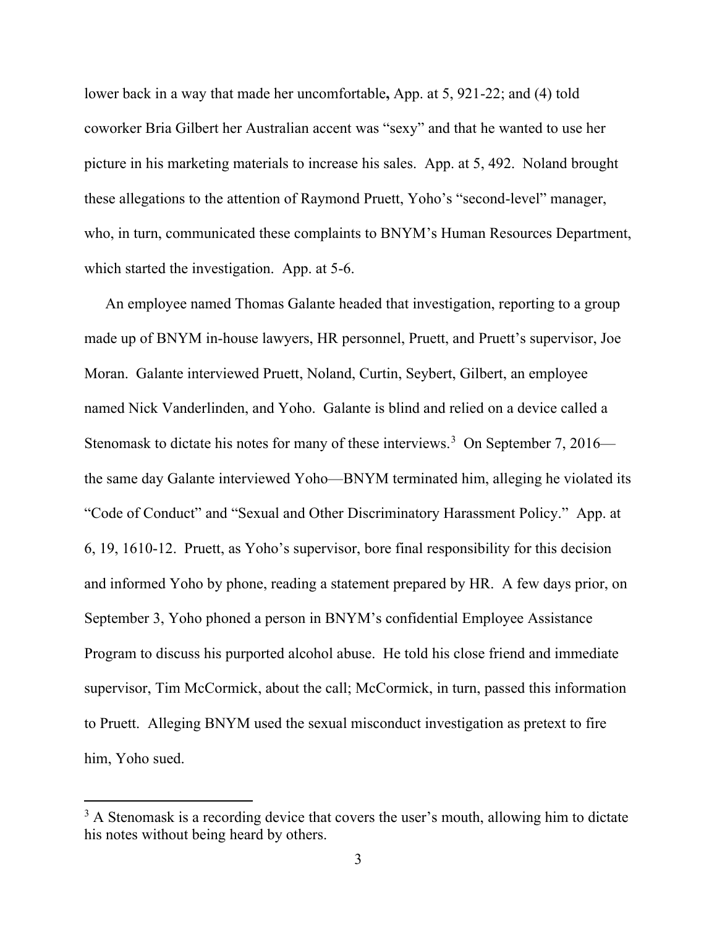lower back in a way that made her uncomfortable**,** App. at 5, 921-22; and (4) told coworker Bria Gilbert her Australian accent was "sexy" and that he wanted to use her picture in his marketing materials to increase his sales. App. at 5, 492.Noland brought these allegations to the attention of Raymond Pruett, Yoho's "second-level" manager, who, in turn, communicated these complaints to BNYM's Human Resources Department, which started the investigation. App. at 5-6.

An employee named Thomas Galante headed that investigation, reporting to a group made up of BNYM in-house lawyers, HR personnel, Pruett, and Pruett's supervisor, Joe Moran. Galante interviewed Pruett, Noland, Curtin, Seybert, Gilbert, an employee named Nick Vanderlinden, and Yoho. Galante is blind and relied on a device called a Stenomask to dictate his notes for many of these interviews.<sup>[3](#page-3-0)</sup> On September 7, 2016 the same day Galante interviewed Yoho—BNYM terminated him, alleging he violated its "Code of Conduct" and "Sexual and Other Discriminatory Harassment Policy." App. at 6, 19, 1610-12.Pruett, as Yoho's supervisor, bore final responsibility for this decision and informed Yoho by phone, reading a statement prepared by HR. A few days prior, on September 3, Yoho phoned a person in BNYM's confidential Employee Assistance Program to discuss his purported alcohol abuse. He told his close friend and immediate supervisor, Tim McCormick, about the call; McCormick, in turn, passed this information to Pruett. Alleging BNYM used the sexual misconduct investigation as pretext to fire him, Yoho sued.

<span id="page-3-0"></span> $3$  A Stenomask is a recording device that covers the user's mouth, allowing him to dictate his notes without being heard by others.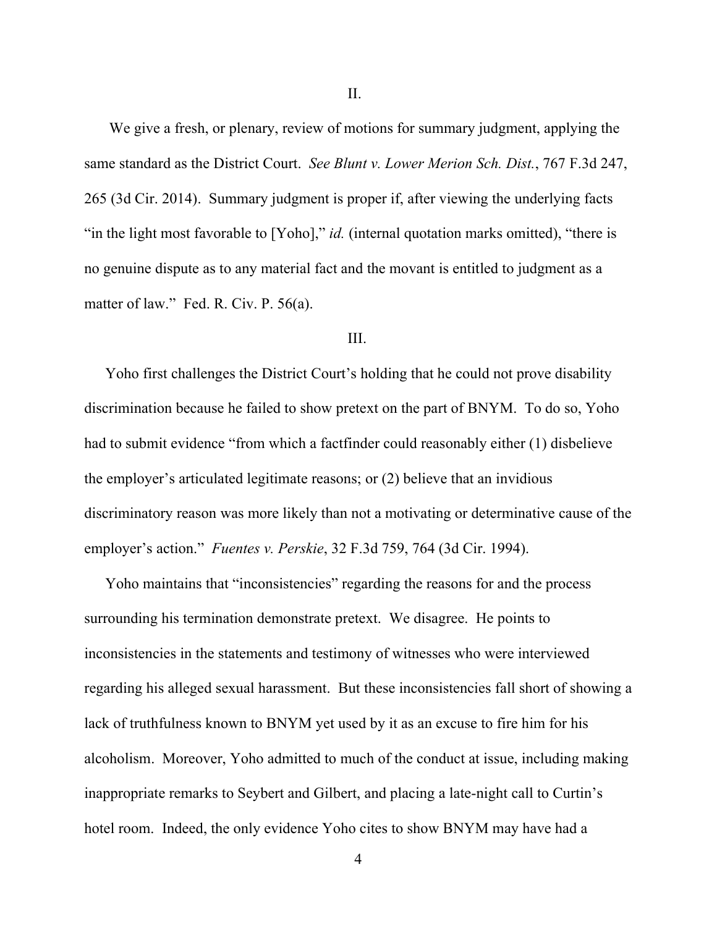We give a fresh, or plenary, review of motions for summary judgment, applying the same standard as the District Court. *See Blunt v. Lower Merion Sch. Dist.*, 767 F.3d 247, 265 (3d Cir. 2014). Summary judgment is proper if, after viewing the underlying facts "in the light most favorable to [Yoho]," *id.* (internal quotation marks omitted), "there is no genuine dispute as to any material fact and the movant is entitled to judgment as a matter of law." Fed. R. Civ. P. 56(a).

#### III.

Yoho first challenges the District Court's holding that he could not prove disability discrimination because he failed to show pretext on the part of BNYM. To do so, Yoho had to submit evidence "from which a factfinder could reasonably either (1) disbelieve the employer's articulated legitimate reasons; or (2) believe that an invidious discriminatory reason was more likely than not a motivating or determinative cause of the employer's action." *Fuentes v. Perskie*, 32 F.3d 759, 764 (3d Cir. 1994).

Yoho maintains that "inconsistencies" regarding the reasons for and the process surrounding his termination demonstrate pretext. We disagree. He points to inconsistencies in the statements and testimony of witnesses who were interviewed regarding his alleged sexual harassment. But these inconsistencies fall short of showing a lack of truthfulness known to BNYM yet used by it as an excuse to fire him for his alcoholism. Moreover, Yoho admitted to much of the conduct at issue, including making inappropriate remarks to Seybert and Gilbert, and placing a late-night call to Curtin's hotel room. Indeed, the only evidence Yoho cites to show BNYM may have had a

4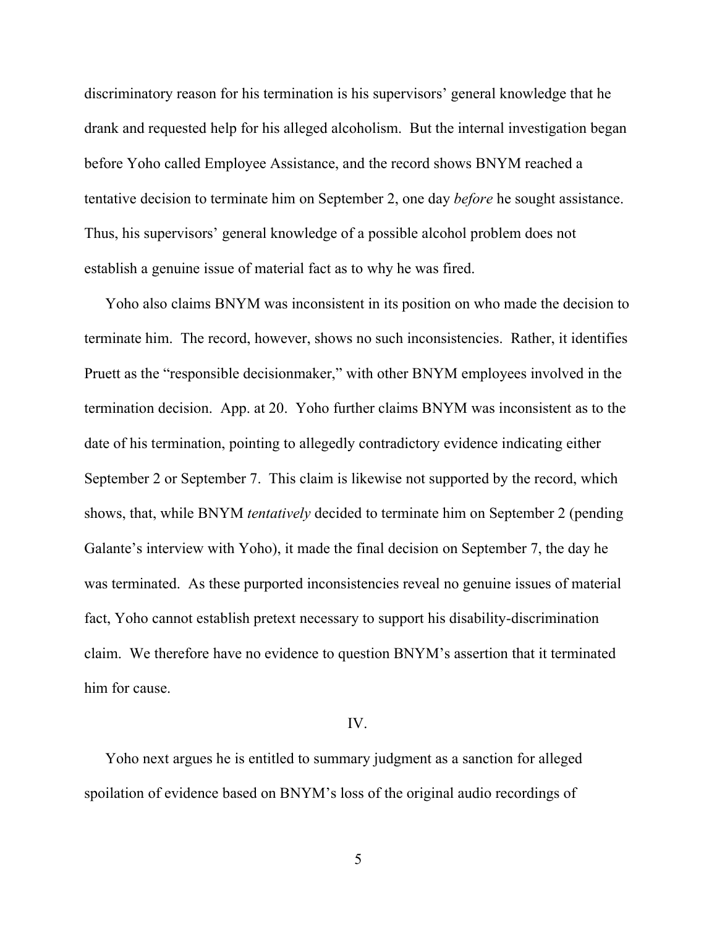discriminatory reason for his termination is his supervisors' general knowledge that he drank and requested help for his alleged alcoholism. But the internal investigation began before Yoho called Employee Assistance, and the record shows BNYM reached a tentative decision to terminate him on September 2, one day *before* he sought assistance. Thus, his supervisors' general knowledge of a possible alcohol problem does not establish a genuine issue of material fact as to why he was fired.

Yoho also claims BNYM was inconsistent in its position on who made the decision to terminate him. The record, however, shows no such inconsistencies. Rather, it identifies Pruett as the "responsible decisionmaker," with other BNYM employees involved in the termination decision. App. at 20. Yoho further claims BNYM was inconsistent as to the date of his termination, pointing to allegedly contradictory evidence indicating either September 2 or September 7. This claim is likewise not supported by the record, which shows, that, while BNYM *tentatively* decided to terminate him on September 2 (pending Galante's interview with Yoho), it made the final decision on September 7, the day he was terminated. As these purported inconsistencies reveal no genuine issues of material fact, Yoho cannot establish pretext necessary to support his disability-discrimination claim. We therefore have no evidence to question BNYM's assertion that it terminated him for cause.

## IV.

Yoho next argues he is entitled to summary judgment as a sanction for alleged spoilation of evidence based on BNYM's loss of the original audio recordings of

5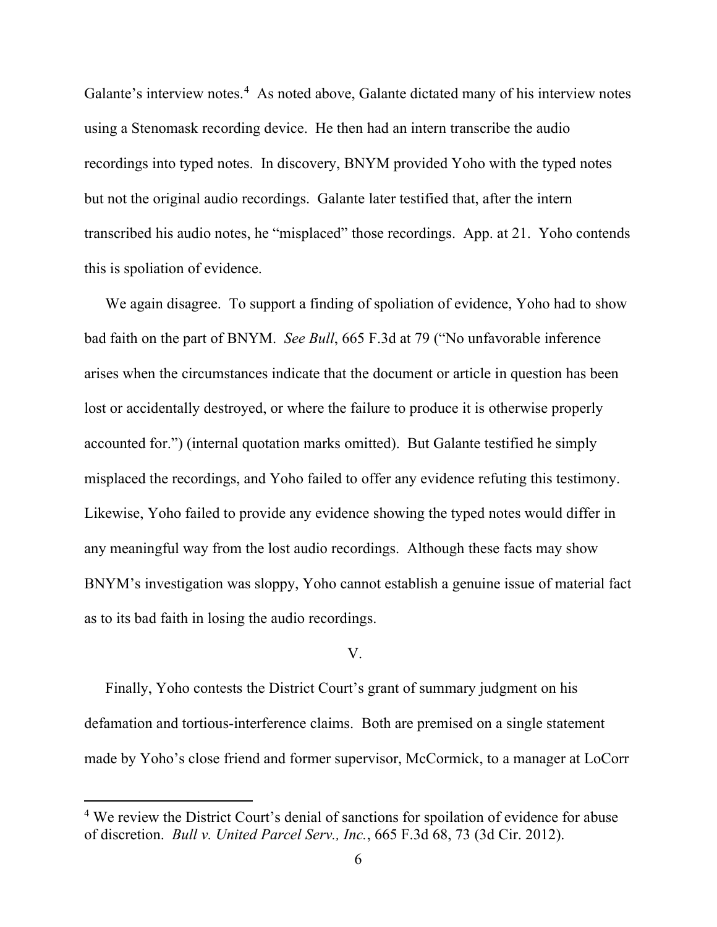Galante's interview notes.<sup>[4](#page-6-0)</sup> As noted above, Galante dictated many of his interview notes using a Stenomask recording device. He then had an intern transcribe the audio recordings into typed notes. In discovery, BNYM provided Yoho with the typed notes but not the original audio recordings. Galante later testified that, after the intern transcribed his audio notes, he "misplaced" those recordings. App. at 21.Yoho contends this is spoliation of evidence.

We again disagree. To support a finding of spoliation of evidence, Yoho had to show bad faith on the part of BNYM. *See Bull*, 665 F.3d at 79 ("No unfavorable inference arises when the circumstances indicate that the document or article in question has been lost or accidentally destroyed, or where the failure to produce it is otherwise properly accounted for.") (internal quotation marks omitted). But Galante testified he simply misplaced the recordings, and Yoho failed to offer any evidence refuting this testimony. Likewise, Yoho failed to provide any evidence showing the typed notes would differ in any meaningful way from the lost audio recordings. Although these facts may show BNYM's investigation was sloppy, Yoho cannot establish a genuine issue of material fact as to its bad faith in losing the audio recordings.

## V.

Finally, Yoho contests the District Court's grant of summary judgment on his defamation and tortious-interference claims. Both are premised on a single statement made by Yoho's close friend and former supervisor, McCormick, to a manager at LoCorr

<span id="page-6-0"></span><sup>&</sup>lt;sup>4</sup> We review the District Court's denial of sanctions for spoilation of evidence for abuse of discretion. *Bull v. United Parcel Serv., Inc.*, 665 F.3d 68, 73 (3d Cir. 2012).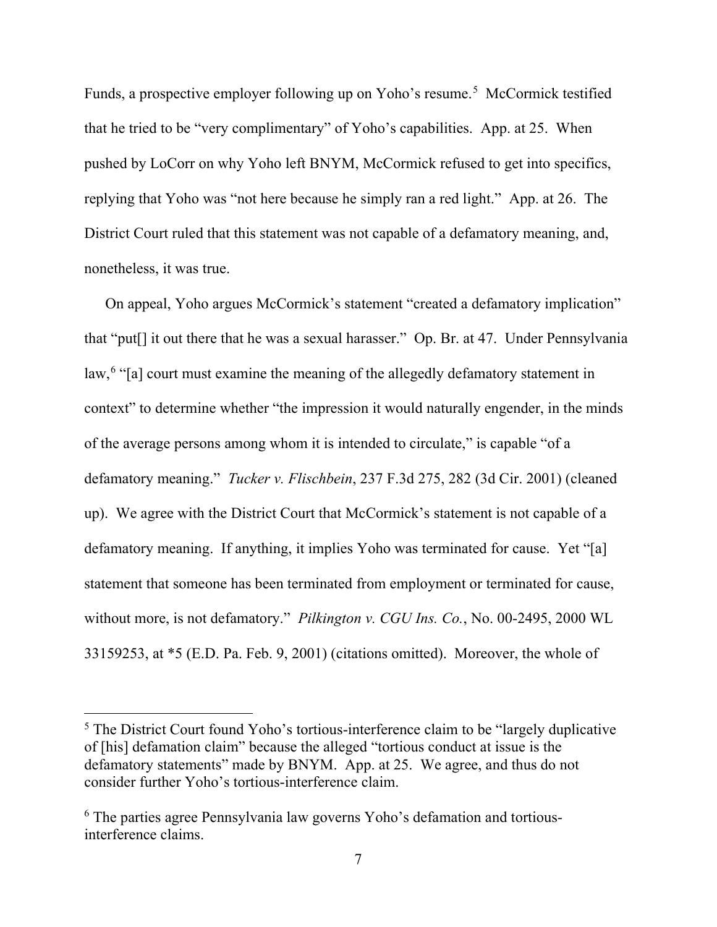Funds, a prospective employer following up on Yoho's resume. [5](#page-7-0) McCormick testified that he tried to be "very complimentary" of Yoho's capabilities. App. at 25. When pushed by LoCorr on why Yoho left BNYM, McCormick refused to get into specifics, replying that Yoho was "not here because he simply ran a red light." App. at 26. The District Court ruled that this statement was not capable of a defamatory meaning, and, nonetheless, it was true.

On appeal, Yoho argues McCormick's statement "created a defamatory implication" that "put[] it out there that he was a sexual harasser." Op. Br. at 47. Under Pennsylvania law,<sup>[6](#page-7-1)</sup> "[a] court must examine the meaning of the allegedly defamatory statement in context" to determine whether "the impression it would naturally engender, in the minds of the average persons among whom it is intended to circulate," is capable "of a defamatory meaning." *Tucker v. Flischbein*, 237 F.3d 275, 282 (3d Cir. 2001) (cleaned up). We agree with the District Court that McCormick's statement is not capable of a defamatory meaning. If anything, it implies Yoho was terminated for cause. Yet "[a] statement that someone has been terminated from employment or terminated for cause, without more, is not defamatory." *Pilkington v. CGU Ins. Co.*, No. 00-2495, 2000 WL 33159253, at \*5 (E.D. Pa. Feb. 9, 2001) (citations omitted). Moreover, the whole of

<span id="page-7-0"></span><sup>&</sup>lt;sup>5</sup> The District Court found Yoho's tortious-interference claim to be "largely duplicative" of [his] defamation claim" because the alleged "tortious conduct at issue is the defamatory statements" made by BNYM. App. at 25. We agree, and thus do not consider further Yoho's tortious-interference claim.

<span id="page-7-1"></span><sup>&</sup>lt;sup>6</sup> The parties agree Pennsylvania law governs Yoho's defamation and tortiousinterference claims.